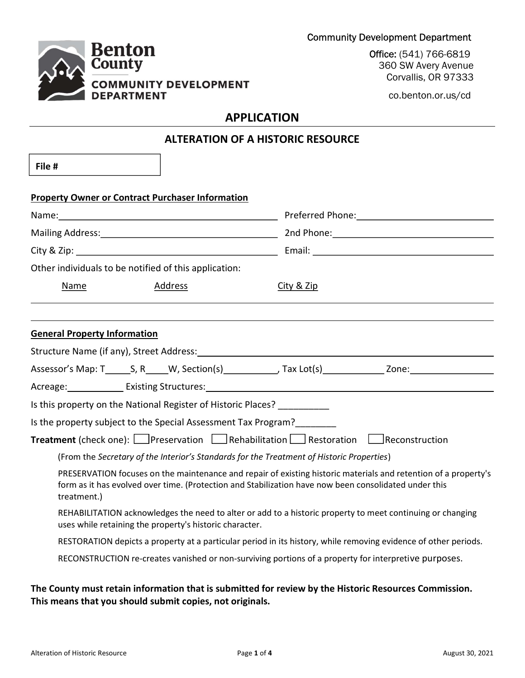

Office: (541) 766-6819 360 SW Avery Avenue Corvallis, OR 97333

co.benton.or.us/cd

# APPLICATION

| <b>ALTERATION OF A HISTORIC RESOURCE</b> |                                                                |                                                                                                                                                                                                                                |  |  |
|------------------------------------------|----------------------------------------------------------------|--------------------------------------------------------------------------------------------------------------------------------------------------------------------------------------------------------------------------------|--|--|
| File #                                   |                                                                |                                                                                                                                                                                                                                |  |  |
|                                          | <b>Property Owner or Contract Purchaser Information</b>        |                                                                                                                                                                                                                                |  |  |
|                                          |                                                                |                                                                                                                                                                                                                                |  |  |
|                                          |                                                                | Mailing Address: 1988 Contract Contract Contract Contract Contract Contract Contract Contract Contract Contract Contract Contract Contract Contract Contract Contract Contract Contract Contract Contract Contract Contract Co |  |  |
|                                          |                                                                |                                                                                                                                                                                                                                |  |  |
|                                          | Other individuals to be notified of this application:          |                                                                                                                                                                                                                                |  |  |
| Name                                     | Address                                                        | City & Zip                                                                                                                                                                                                                     |  |  |
|                                          |                                                                |                                                                                                                                                                                                                                |  |  |
| <b>General Property Information</b>      |                                                                |                                                                                                                                                                                                                                |  |  |
|                                          |                                                                |                                                                                                                                                                                                                                |  |  |
|                                          |                                                                |                                                                                                                                                                                                                                |  |  |
|                                          |                                                                |                                                                                                                                                                                                                                |  |  |
|                                          | Is this property on the National Register of Historic Places?  |                                                                                                                                                                                                                                |  |  |
|                                          | Is the property subject to the Special Assessment Tax Program? |                                                                                                                                                                                                                                |  |  |
|                                          |                                                                | <b>Treatment</b> (check one): $\Box$ Preservation $\Box$ Rehabilitation $\Box$ Restoration $\Box$ Reconstruction                                                                                                               |  |  |
|                                          |                                                                | (From the Secretary of the Interior's Standards for the Treatment of Historic Properties)                                                                                                                                      |  |  |
| treatment.)                              |                                                                | PRESERVATION focuses on the maintenance and repair of existing historic materials and retention of a property's<br>form as it has evolved over time. (Protection and Stabilization have now been consolidated under this       |  |  |
|                                          | uses while retaining the property's historic character.        | REHABILITATION acknowledges the need to alter or add to a historic property to meet continuing or changing                                                                                                                     |  |  |
|                                          |                                                                | RESTORATION depicts a property at a particular period in its history, while removing evidence of other periods.                                                                                                                |  |  |

RECONSTRUCTION re-creates vanished or non-surviving portions of a property for interpretive purposes.

## The County must retain information that is submitted for review by the Historic Resources Commission. This means that you should submit copies, not originals.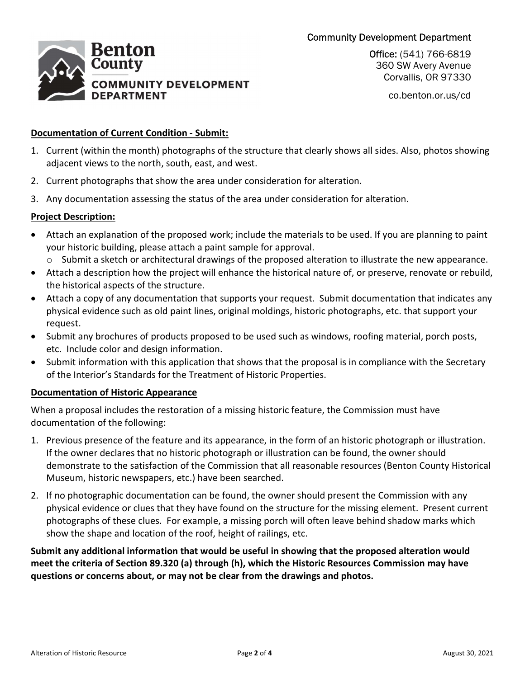## Community Development Department



Office: (541) 766-6819 360 SW Avery Avenue Corvallis, OR 97330

co.benton.or.us/cd

### Documentation of Current Condition - Submit:

- 1. Current (within the month) photographs of the structure that clearly shows all sides. Also, photos showing adjacent views to the north, south, east, and west.
- 2. Current photographs that show the area under consideration for alteration.
- 3. Any documentation assessing the status of the area under consideration for alteration.

### Project Description:

- Attach an explanation of the proposed work; include the materials to be used. If you are planning to paint your historic building, please attach a paint sample for approval.
	- o Submit a sketch or architectural drawings of the proposed alteration to illustrate the new appearance.
- Attach a description how the project will enhance the historical nature of, or preserve, renovate or rebuild, the historical aspects of the structure.
- Attach a copy of any documentation that supports your request. Submit documentation that indicates any physical evidence such as old paint lines, original moldings, historic photographs, etc. that support your request.
- Submit any brochures of products proposed to be used such as windows, roofing material, porch posts, etc. Include color and design information.
- Submit information with this application that shows that the proposal is in compliance with the Secretary of the Interior's Standards for the Treatment of Historic Properties.

#### Documentation of Historic Appearance

When a proposal includes the restoration of a missing historic feature, the Commission must have documentation of the following:

- 1. Previous presence of the feature and its appearance, in the form of an historic photograph or illustration. If the owner declares that no historic photograph or illustration can be found, the owner should demonstrate to the satisfaction of the Commission that all reasonable resources (Benton County Historical Museum, historic newspapers, etc.) have been searched.
- 2. If no photographic documentation can be found, the owner should present the Commission with any physical evidence or clues that they have found on the structure for the missing element. Present current photographs of these clues. For example, a missing porch will often leave behind shadow marks which show the shape and location of the roof, height of railings, etc.

Submit any additional information that would be useful in showing that the proposed alteration would meet the criteria of Section 89.320 (a) through (h), which the Historic Resources Commission may have questions or concerns about, or may not be clear from the drawings and photos.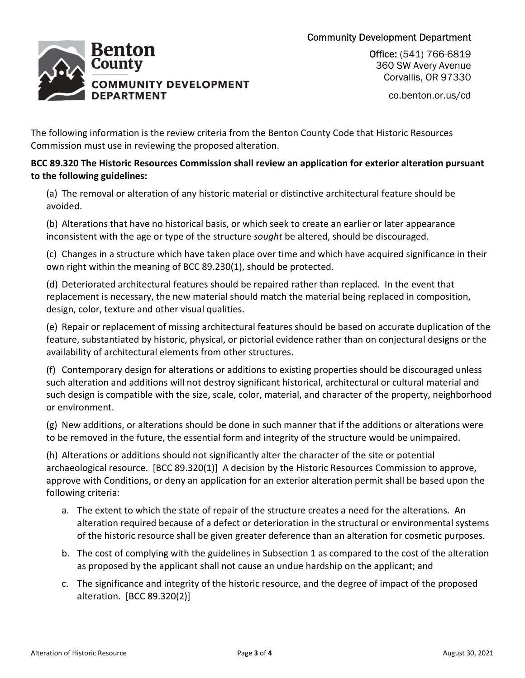## Community Development Department



Office: (541) 766-6819 360 SW Avery Avenue Corvallis, OR 97330

co.benton.or.us/cd

The following information is the review criteria from the Benton County Code that Historic Resources Commission must use in reviewing the proposed alteration.

## BCC 89.320 The Historic Resources Commission shall review an application for exterior alteration pursuant to the following guidelines:

(a) The removal or alteration of any historic material or distinctive architectural feature should be avoided.

(b) Alterations that have no historical basis, or which seek to create an earlier or later appearance inconsistent with the age or type of the structure sought be altered, should be discouraged.

(c) Changes in a structure which have taken place over time and which have acquired significance in their own right within the meaning of BCC 89.230(1), should be protected.

(d) Deteriorated architectural features should be repaired rather than replaced. In the event that replacement is necessary, the new material should match the material being replaced in composition, design, color, texture and other visual qualities.

(e) Repair or replacement of missing architectural features should be based on accurate duplication of the feature, substantiated by historic, physical, or pictorial evidence rather than on conjectural designs or the availability of architectural elements from other structures.

(f) Contemporary design for alterations or additions to existing properties should be discouraged unless such alteration and additions will not destroy significant historical, architectural or cultural material and such design is compatible with the size, scale, color, material, and character of the property, neighborhood or environment.

(g) New additions, or alterations should be done in such manner that if the additions or alterations were to be removed in the future, the essential form and integrity of the structure would be unimpaired.

(h) Alterations or additions should not significantly alter the character of the site or potential archaeological resource. [BCC 89.320(1)] A decision by the Historic Resources Commission to approve, approve with Conditions, or deny an application for an exterior alteration permit shall be based upon the following criteria:

- a. The extent to which the state of repair of the structure creates a need for the alterations. An alteration required because of a defect or deterioration in the structural or environmental systems of the historic resource shall be given greater deference than an alteration for cosmetic purposes.
- b. The cost of complying with the guidelines in Subsection 1 as compared to the cost of the alteration as proposed by the applicant shall not cause an undue hardship on the applicant; and
- c. The significance and integrity of the historic resource, and the degree of impact of the proposed alteration. [BCC 89.320(2)]